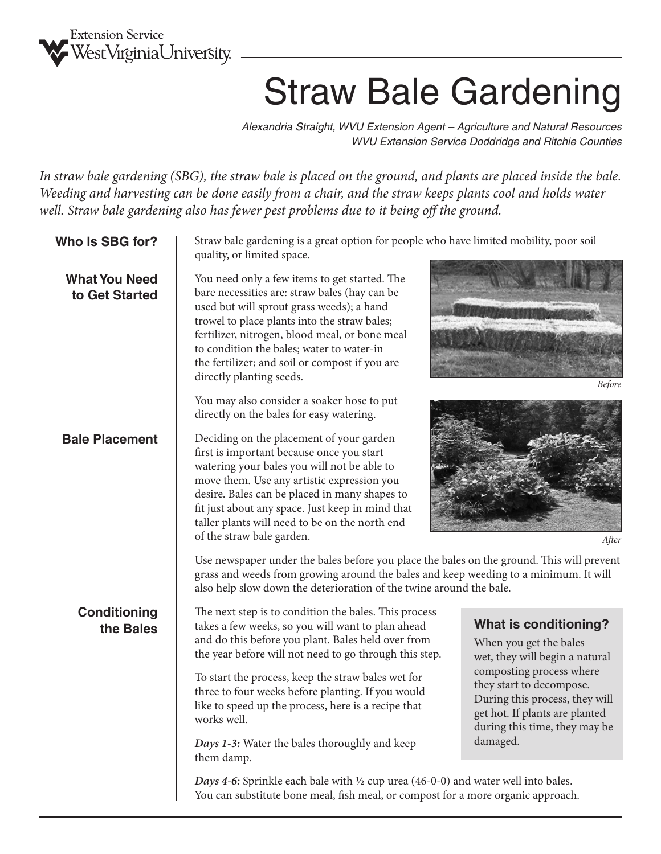

## Straw Bale Gardening

*Alexandria Straight, WVU Extension Agent – Agriculture and Natural Resources WVU Extension Service Doddridge and Ritchie Counties*

*In straw bale gardening (SBG), the straw bale is placed on the ground, and plants are placed inside the bale. Weeding and harvesting can be done easily from a chair, and the straw keeps plants cool and holds water well. Straw bale gardening also has fewer pest problems due to it being off the ground.*

| Who Is SBG for?                        | Straw bale gardening is a great option for people who have limited mobility, poor soil<br>quality, or limited space.                                                                                                                                                                                                                                                     |                                                                                          |  |  |  |  |
|----------------------------------------|--------------------------------------------------------------------------------------------------------------------------------------------------------------------------------------------------------------------------------------------------------------------------------------------------------------------------------------------------------------------------|------------------------------------------------------------------------------------------|--|--|--|--|
| <b>What You Need</b><br>to Get Started | You need only a few items to get started. The<br>bare necessities are: straw bales (hay can be<br>used but will sprout grass weeds); a hand<br>trowel to place plants into the straw bales;<br>fertilizer, nitrogen, blood meal, or bone meal<br>to condition the bales; water to water-in<br>the fertilizer; and soil or compost if you are<br>directly planting seeds. | <b>Before</b>                                                                            |  |  |  |  |
|                                        | You may also consider a soaker hose to put<br>directly on the bales for easy watering.                                                                                                                                                                                                                                                                                   |                                                                                          |  |  |  |  |
| <b>Bale Placement</b>                  | Deciding on the placement of your garden<br>first is important because once you start<br>watering your bales you will not be able to<br>move them. Use any artistic expression you<br>desire. Bales can be placed in many shapes to<br>fit just about any space. Just keep in mind that<br>taller plants will need to be on the north end<br>of the straw bale garden.   | After                                                                                    |  |  |  |  |
|                                        | Use newspaper under the bales before you place the bales on the ground. This will prevent<br>grass and weeds from growing around the bales and keep weeding to a minimum. It will<br>also help slow down the deterioration of the twine around the bale.                                                                                                                 |                                                                                          |  |  |  |  |
| <b>Conditioning</b><br>the Bales       | The next step is to condition the bales. This process<br>takes a few weeks, so you will want to plan ahead<br>and do this before you plant. Bales held over from<br>the year before will not need to go through this step.                                                                                                                                               | <b>What is conditioning?</b><br>When you get the bales<br>wet, they will begin a natural |  |  |  |  |
|                                        | composting process where<br>To start the process, keep the straw bales wet for<br>they start to decompose.<br>three to four weeks before planting. If you would<br>During this process, they will<br>like to speed up the process, here is a recipe that<br>get hot. If plants are planted<br>works well.<br>during this time, they may be                               |                                                                                          |  |  |  |  |
|                                        | Days 1-3: Water the bales thoroughly and keep<br>them damp.                                                                                                                                                                                                                                                                                                              | damaged.                                                                                 |  |  |  |  |
|                                        | <i>Days</i> 4-6: Sprinkle each bale with $\frac{1}{2}$ cup urea (46-0-0) and water well into bales.<br>You can substitute bone meal, fish meal, or compost for a more organic approach.                                                                                                                                                                                  |                                                                                          |  |  |  |  |